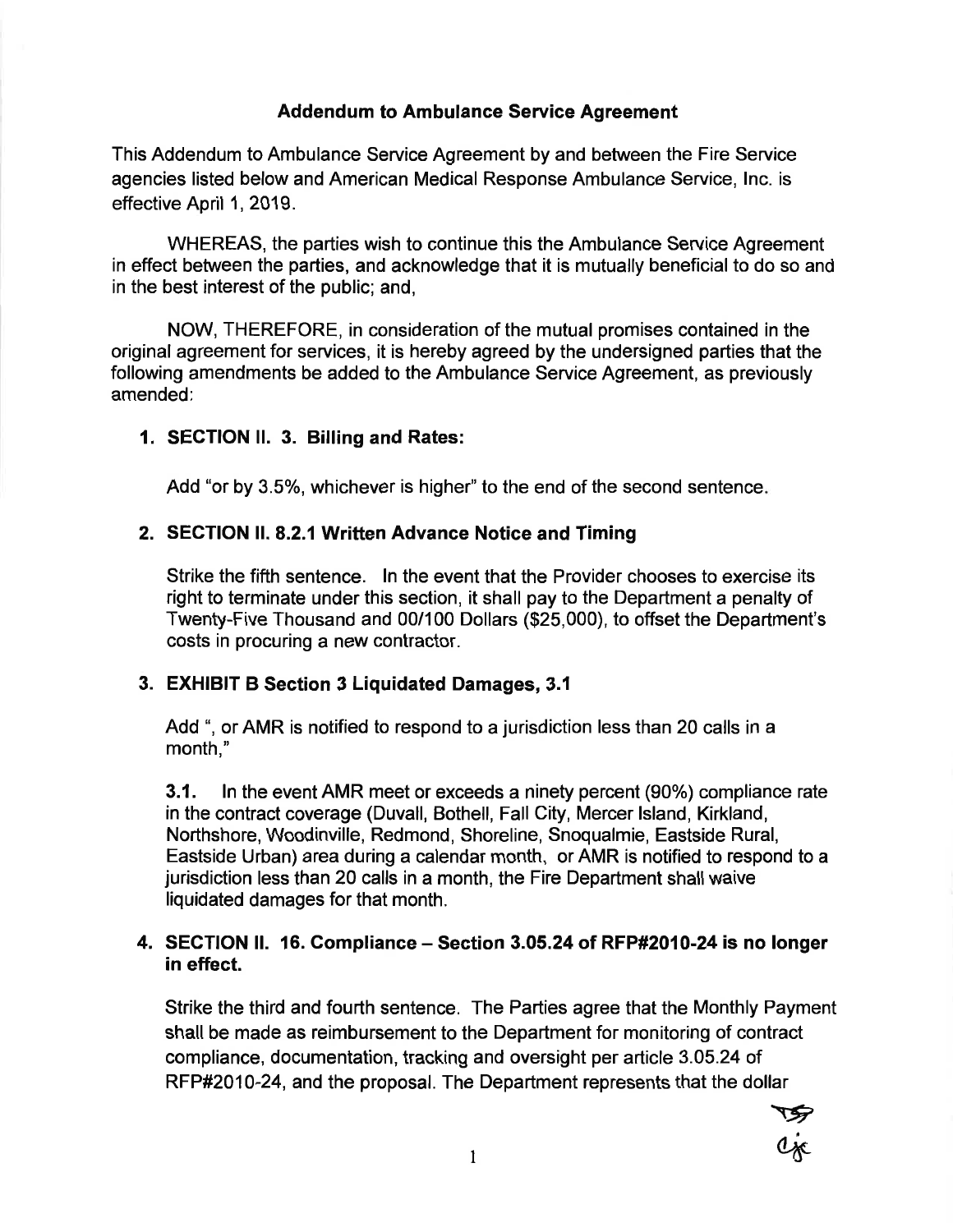# **Addendum to Ambulance Service Agreement**

This Addendum to Ambulance Service Agreement by and between the Fire Service agencies listed below and American Medical Response Ambulance Service, Inc. is effective April 1, 2019.

WHEREAS, the parties wish to continue this the Ambulance Service Agreement in effect between the parties, and acknowledge that it is mutually beneficial to do so and in the best interest of the public; and,

NOW, THEREFORE, in consideration of the mutual promises contained in the original agreement for services, it is hereby agreed by the undersigned parties that the following amendments be added to the Ambulance Service Agreement, as previously amended:

### 1. SECTION II. 3. Billing and Rates:

Add "or by 3.5%, whichever is higher" to the end of the second sentence.

### 2. SECTION II. 8.2.1 Written Advance Notice and Timing

Strike the fifth sentence. In the event that the Provider chooses to exercise its right to terminate under this section, it shall pay to the Department a penalty of Twenty-Five Thousand and 00/100 Dollars (\$25,000), to offset the Department's costs in procuring a new contractor.

### 3. EXHIBIT B Section 3 Liquidated Damages, 3.1

Add ", or AMR is notified to respond to a jurisdiction less than 20 calls in a month."

 $3.1.$ In the event AMR meet or exceeds a ninety percent (90%) compliance rate in the contract coverage (Duvall, Bothell, Fall City, Mercer Island, Kirkland, Northshore, Woodinville, Redmond, Shoreline, Snoqualmie, Eastside Rural, Eastside Urban) area during a calendar month, or AMR is notified to respond to a jurisdiction less than 20 calls in a month, the Fire Department shall waive liquidated damages for that month.

# 4. SECTION II. 16. Compliance – Section 3.05.24 of RFP#2010-24 is no longer in effect.

Strike the third and fourth sentence. The Parties agree that the Monthly Payment shall be made as reimbursement to the Department for monitoring of contract compliance, documentation, tracking and oversight per article 3.05.24 of RFP#2010-24, and the proposal. The Department represents that the dollar

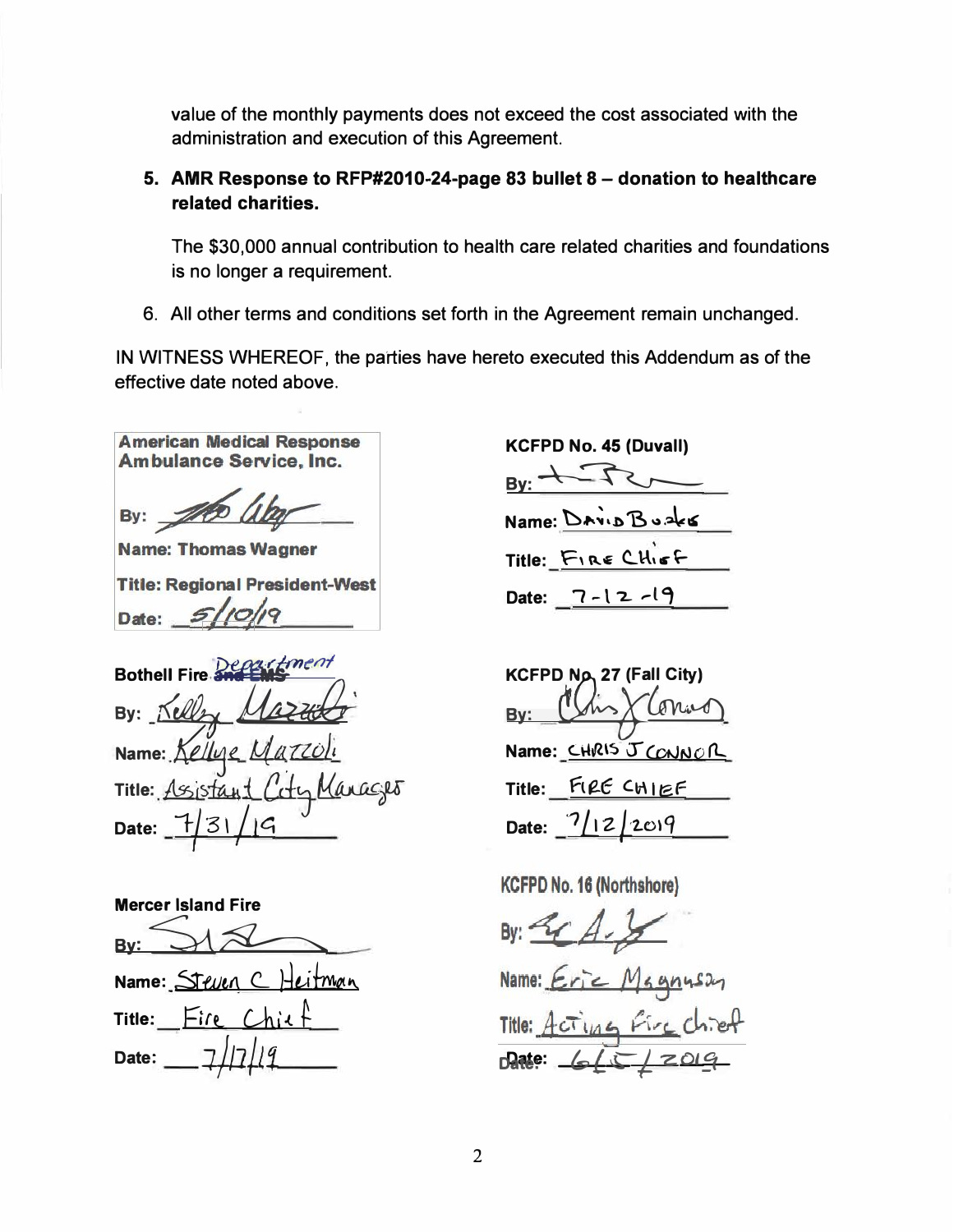value of the monthly payments does not exceed the cost associated with the administration and execution of this Agreement.

# 5. AMR Response to RFP#2010-24-page 83 bullet 8 - donation to healthcare related charities.

The \$30,000 annual contribution to health care related charities and foundations is no longer a requirement.

6. All other terms and conditions set forth in the Agreement remain unchanged.

IN WITNESS WHEREOF, the parties have hereto executed this Addendum as of the effective date noted above.

**American Medical Response** Ambulance Service, Inc.

By:

**Name: Thomas Wagner** 

**Title: Regional President-West** 

Date:

Bothell Fire Bv:  $110$ Name: anagests Title: Assistan: Date:

**Mercer Island Fire** Bv Name: Steinn C Man  $Fire$   $Chi$ Title: Date:

**KCFPD No. 45 (Duvall)** 

 $Bv:$ 

 $Name: Draw B 3.256$ 

Title: FIRE CHIEF

Date:  $7 - 12 - 19$ 

**KCFPD No. 27 (Fall City) Bv** Name: CHRIS J CONNOR Title: FIRE CHIEF Date:  $7/12/2019$ 

**KCFPD No. 16 (Northshore)** 

By:  $\leq$ Eric Magnu Name: **Date:**